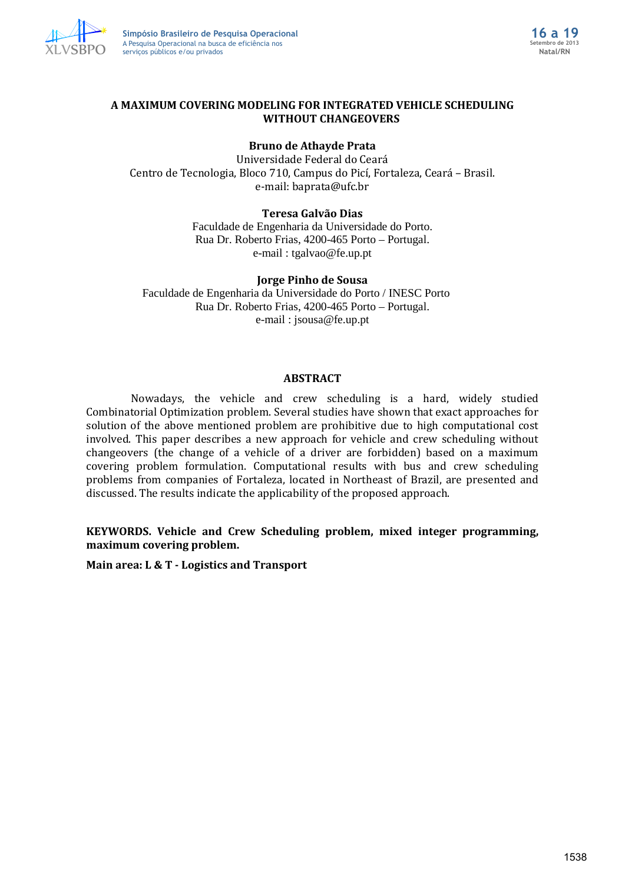

# **A MAXIMUM COVERING MODELING FOR INTEGRATED VEHICLE SCHEDULING WITHOUT CHANGEOVERS**

# **Bruno de Athayde Prata**

Universidade Federal do Ceará Centro de Tecnologia, Bloco 710, Campus do Picí, Fortaleza, Ceará – Brasil. e-mail: baprata@ufc.br

## **Teresa Galvão Dias**

Faculdade de Engenharia da Universidade do Porto. Rua Dr. Roberto Frias, 4200-465 Porto – Portugal. e-mail : tgalvao@fe.up.pt

## **Jorge Pinho de Sousa**

Faculdade de Engenharia da Universidade do Porto / INESC Porto Rua Dr. Roberto Frias, 4200-465 Porto – Portugal. e-mail : jsousa@fe.up.pt

## **ABSTRACT**

Nowadays, the vehicle and crew scheduling is a hard, widely studied Combinatorial Optimization problem. Several studies have shown that exact approaches for solution of the above mentioned problem are prohibitive due to high computational cost involved. This paper describes a new approach for vehicle and crew scheduling without changeovers (the change of a vehicle of a driver are forbidden) based on a maximum covering problem formulation. Computational results with bus and crew scheduling problems from companies of Fortaleza, located in Northeast of Brazil, are presented and discussed. The results indicate the applicability of the proposed approach.

**KEYWORDS. Vehicle and Crew Scheduling problem, mixed integer programming, maximum covering problem.**

**Main area: L & T - Logistics and Transport**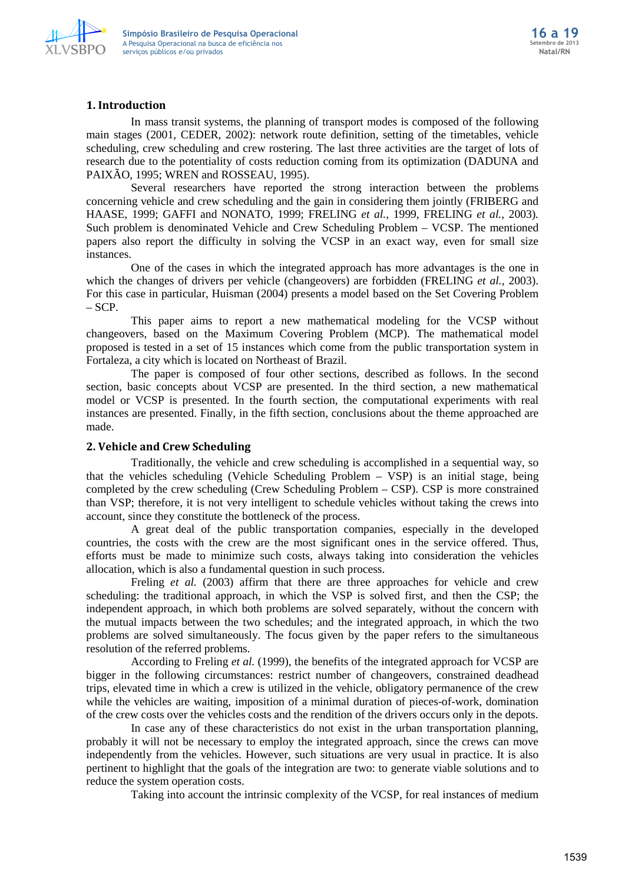

## **1. Introduction**

In mass transit systems, the planning of transport modes is composed of the following main stages (2001, CEDER, 2002): network route definition, setting of the timetables, vehicle scheduling, crew scheduling and crew rostering. The last three activities are the target of lots of research due to the potentiality of costs reduction coming from its optimization (DADUNA and PAIXÃO, 1995; WREN and ROSSEAU, 1995).

Several researchers have reported the strong interaction between the problems concerning vehicle and crew scheduling and the gain in considering them jointly (FRIBERG and HAASE, 1999; GAFFI and NONATO, 1999; FRELING *et al.*, 1999, FRELING *et al.,* 2003)*.*  Such problem is denominated Vehicle and Crew Scheduling Problem – VCSP. The mentioned papers also report the difficulty in solving the VCSP in an exact way, even for small size instances.

One of the cases in which the integrated approach has more advantages is the one in which the changes of drivers per vehicle (changeovers) are forbidden (FRELING *et al.*, 2003). For this case in particular, Huisman (2004) presents a model based on the Set Covering Problem *–* SCP.

This paper aims to report a new mathematical modeling for the VCSP without changeovers, based on the Maximum Covering Problem (MCP). The mathematical model proposed is tested in a set of 15 instances which come from the public transportation system in Fortaleza, a city which is located on Northeast of Brazil.

The paper is composed of four other sections, described as follows. In the second section, basic concepts about VCSP are presented. In the third section, a new mathematical model or VCSP is presented. In the fourth section, the computational experiments with real instances are presented. Finally, in the fifth section, conclusions about the theme approached are made.

## **2. Vehicle and Crew Scheduling**

Traditionally, the vehicle and crew scheduling is accomplished in a sequential way, so that the vehicles scheduling (Vehicle Scheduling Problem – VSP) is an initial stage, being completed by the crew scheduling (Crew Scheduling Problem – CSP). CSP is more constrained than VSP; therefore, it is not very intelligent to schedule vehicles without taking the crews into account, since they constitute the bottleneck of the process.

A great deal of the public transportation companies, especially in the developed countries, the costs with the crew are the most significant ones in the service offered. Thus, efforts must be made to minimize such costs, always taking into consideration the vehicles allocation, which is also a fundamental question in such process.

Freling *et al.* (2003) affirm that there are three approaches for vehicle and crew scheduling: the traditional approach, in which the VSP is solved first, and then the CSP; the independent approach, in which both problems are solved separately, without the concern with the mutual impacts between the two schedules; and the integrated approach, in which the two problems are solved simultaneously. The focus given by the paper refers to the simultaneous resolution of the referred problems.

According to Freling *et al.* (1999), the benefits of the integrated approach for VCSP are bigger in the following circumstances: restrict number of changeovers, constrained deadhead trips, elevated time in which a crew is utilized in the vehicle, obligatory permanence of the crew while the vehicles are waiting, imposition of a minimal duration of pieces-of-work, domination of the crew costs over the vehicles costs and the rendition of the drivers occurs only in the depots.

In case any of these characteristics do not exist in the urban transportation planning, probably it will not be necessary to employ the integrated approach, since the crews can move independently from the vehicles. However, such situations are very usual in practice. It is also pertinent to highlight that the goals of the integration are two: to generate viable solutions and to reduce the system operation costs.

Taking into account the intrinsic complexity of the VCSP, for real instances of medium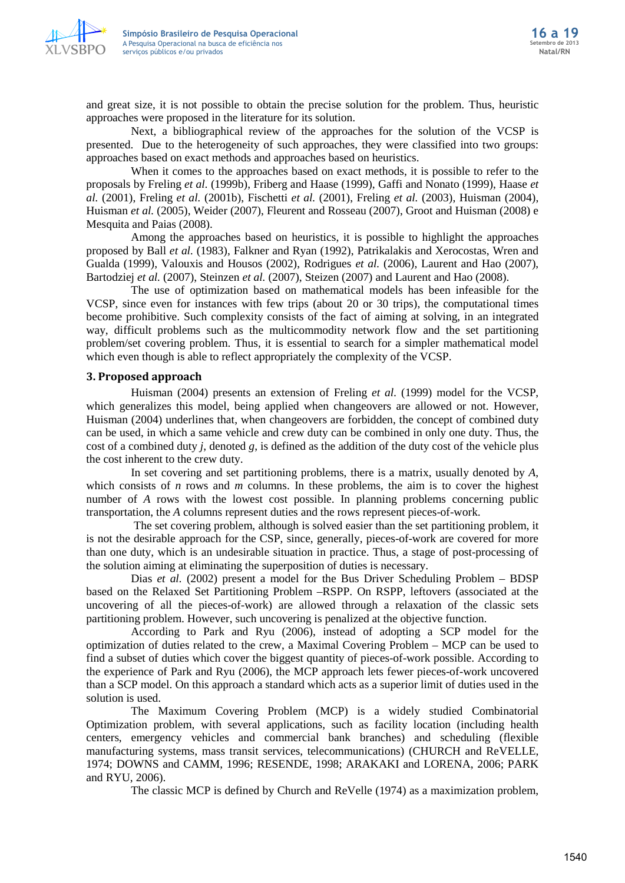

and great size, it is not possible to obtain the precise solution for the problem. Thus, heuristic approaches were proposed in the literature for its solution.

Next, a bibliographical review of the approaches for the solution of the VCSP is presented. Due to the heterogeneity of such approaches, they were classified into two groups: approaches based on exact methods and approaches based on heuristics.

When it comes to the approaches based on exact methods, it is possible to refer to the proposals by Freling *et al.* (1999b), Friberg and Haase (1999), Gaffi and Nonato (1999), Haase *et al.* (2001), Freling *et al.* (2001b), Fischetti *et al.* (2001), Freling *et al.* (2003), Huisman (2004), Huisman *et al.* (2005), Weider (2007), Fleurent and Rosseau (2007), Groot and Huisman (2008) e Mesquita and Paias (2008).

Among the approaches based on heuristics, it is possible to highlight the approaches proposed by Ball *et al.* (1983), Falkner and Ryan (1992), Patrikalakis and Xerocostas, Wren and Gualda (1999), Valouxis and Housos (2002), Rodrigues *et al.* (2006), Laurent and Hao (2007), Bartodziej *et al.* (2007), Steinzen *et al.* (2007), Steizen (2007) and Laurent and Hao (2008).

The use of optimization based on mathematical models has been infeasible for the VCSP, since even for instances with few trips (about 20 or 30 trips), the computational times become prohibitive. Such complexity consists of the fact of aiming at solving, in an integrated way, difficult problems such as the multicommodity network flow and the set partitioning problem/set covering problem. Thus, it is essential to search for a simpler mathematical model which even though is able to reflect appropriately the complexity of the VCSP.

## **3. Proposed approach**

Huisman (2004) presents an extension of Freling *et al.* (1999) model for the VCSP, which generalizes this model, being applied when changeovers are allowed or not. However, Huisman (2004) underlines that, when changeovers are forbidden, the concept of combined duty can be used, in which a same vehicle and crew duty can be combined in only one duty. Thus, the cost of a combined duty *j*, denoted *g*, is defined as the addition of the duty cost of the vehicle plus the cost inherent to the crew duty.

In set covering and set partitioning problems, there is a matrix, usually denoted by *A*, which consists of *n* rows and *m* columns. In these problems, the aim is to cover the highest number of *A* rows with the lowest cost possible. In planning problems concerning public transportation, the *A* columns represent duties and the rows represent pieces-of-work.

The set covering problem, although is solved easier than the set partitioning problem, it is not the desirable approach for the CSP, since, generally, pieces-of-work are covered for more than one duty, which is an undesirable situation in practice. Thus, a stage of post-processing of the solution aiming at eliminating the superposition of duties is necessary.

Dias *et al.* (2002) present a model for the Bus Driver Scheduling Problem – BDSP based on the Relaxed Set Partitioning Problem –RSPP. On RSPP, leftovers (associated at the uncovering of all the pieces-of-work) are allowed through a relaxation of the classic sets partitioning problem. However, such uncovering is penalized at the objective function.

According to Park and Ryu (2006), instead of adopting a SCP model for the optimization of duties related to the crew, a Maximal Covering Problem – MCP can be used to find a subset of duties which cover the biggest quantity of pieces-of-work possible. According to the experience of Park and Ryu (2006), the MCP approach lets fewer pieces-of-work uncovered than a SCP model. On this approach a standard which acts as a superior limit of duties used in the solution is used.

The Maximum Covering Problem (MCP) is a widely studied Combinatorial Optimization problem, with several applications, such as facility location (including health centers, emergency vehicles and commercial bank branches) and scheduling (flexible manufacturing systems, mass transit services, telecommunications) (CHURCH and ReVELLE, 1974; DOWNS and CAMM, 1996; RESENDE, 1998; ARAKAKI and LORENA, 2006; PARK and RYU, 2006).

The classic MCP is defined by Church and ReVelle (1974) as a maximization problem,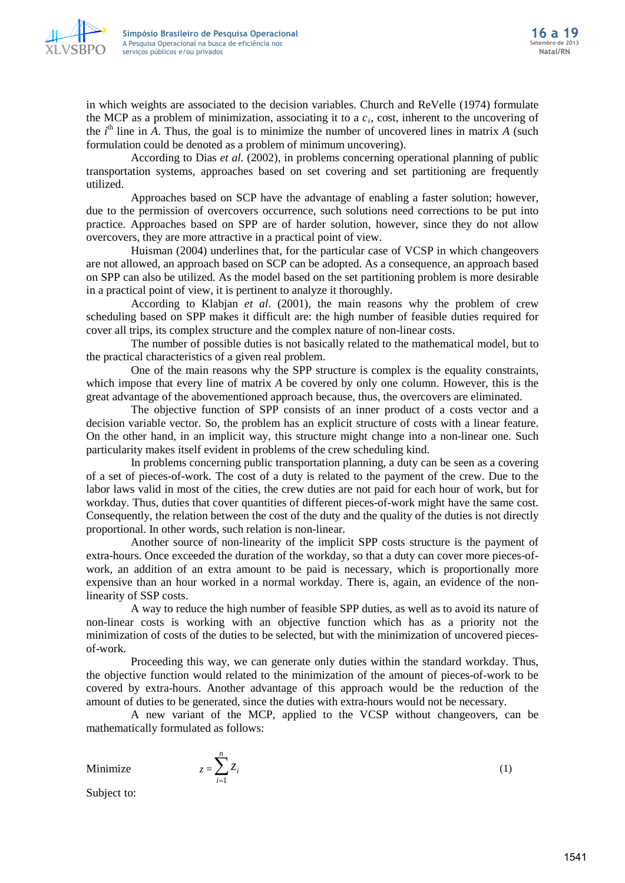

in which weights are associated to the decision variables. Church and ReVelle (1974) formulate the MCP as a problem of minimization, associating it to a *ci*, cost, inherent to the uncovering of the  $i<sup>th</sup>$  line in  $\overline{A}$ . Thus, the goal is to minimize the number of uncovered lines in matrix  $\overline{A}$  (such formulation could be denoted as a problem of minimum uncovering).

According to Dias *et al.* (2002), in problems concerning operational planning of public transportation systems, approaches based on set covering and set partitioning are frequently utilized.

Approaches based on SCP have the advantage of enabling a faster solution; however, due to the permission of overcovers occurrence, such solutions need corrections to be put into practice. Approaches based on SPP are of harder solution, however, since they do not allow overcovers, they are more attractive in a practical point of view.

Huisman (2004) underlines that, for the particular case of VCSP in which changeovers are not allowed, an approach based on SCP can be adopted. As a consequence, an approach based on SPP can also be utilized. As the model based on the set partitioning problem is more desirable in a practical point of view, it is pertinent to analyze it thoroughly.

According to Klabjan *et al*. (2001), the main reasons why the problem of crew scheduling based on SPP makes it difficult are: the high number of feasible duties required for cover all trips, its complex structure and the complex nature of non-linear costs.

The number of possible duties is not basically related to the mathematical model, but to the practical characteristics of a given real problem.

One of the main reasons why the SPP structure is complex is the equality constraints, which impose that every line of matrix *A* be covered by only one column. However, this is the great advantage of the abovementioned approach because, thus, the overcovers are eliminated.

The objective function of SPP consists of an inner product of a costs vector and a decision variable vector. So, the problem has an explicit structure of costs with a linear feature. On the other hand, in an implicit way, this structure might change into a non-linear one. Such particularity makes itself evident in problems of the crew scheduling kind.

In problems concerning public transportation planning, a duty can be seen as a covering of a set of pieces-of-work. The cost of a duty is related to the payment of the crew. Due to the labor laws valid in most of the cities, the crew duties are not paid for each hour of work, but for workday. Thus, duties that cover quantities of different pieces-of-work might have the same cost. Consequently, the relation between the cost of the duty and the quality of the duties is not directly proportional. In other words, such relation is non-linear.

Another source of non-linearity of the implicit SPP costs structure is the payment of extra-hours. Once exceeded the duration of the workday, so that a duty can cover more pieces-ofwork, an addition of an extra amount to be paid is necessary, which is proportionally more expensive than an hour worked in a normal workday. There is, again, an evidence of the nonlinearity of SSP costs.

A way to reduce the high number of feasible SPP duties, as well as to avoid its nature of non-linear costs is working with an objective function which has as a priority not the minimization of costs of the duties to be selected, but with the minimization of uncovered piecesof-work.

Proceeding this way, we can generate only duties within the standard workday. Thus, the objective function would related to the minimization of the amount of pieces-of-work to be covered by extra-hours. Another advantage of this approach would be the reduction of the amount of duties to be generated, since the duties with extra-hours would not be necessary.

A new variant of the MCP, applied to the VCSP without changeovers, can be mathematically formulated as follows:

Minimize  $z = \sum_{i=1}^{n}$ *i i z* 1

(1)

Subject to: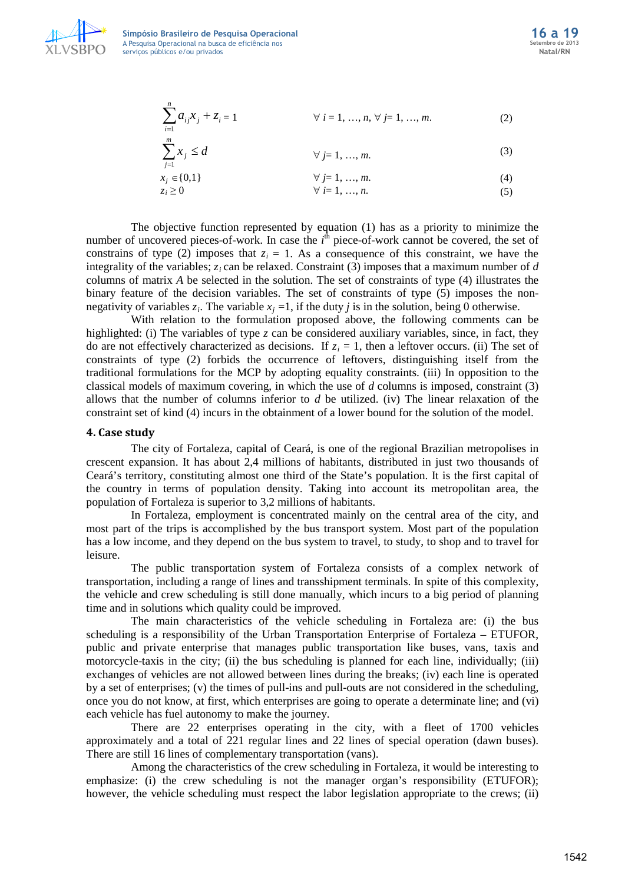

**Simpósio Brasileiro de Pesquisa Operacional 16 a 19** A Pesquisa Operacional na busca de eficiência nos serviços públicos e/ou privados

$$
\sum_{i=1}^{n} a_{ij} x_j + z_i = 1 \qquad \forall i = 1, ..., n, \forall j = 1, ..., m.
$$
 (2)

$$
\sum_{j=1}^{m} x_j \le d \qquad \forall j=1,...,m. \tag{3}
$$

$$
\forall j = 1, ..., m. \tag{4}
$$

$$
z_i \geq 0 \qquad \forall \ i = 1, \dots, n. \tag{5}
$$

The objective function represented by equation (1) has as a priority to minimize the number of uncovered pieces-of-work. In case the  $i^{\text{th}}$  piece-of-work cannot be covered, the set of constrains of type (2) imposes that  $z_i = 1$ . As a consequence of this constraint, we have the integrality of the variables; *zi* can be relaxed. Constraint (3) imposes that a maximum number of *d* columns of matrix *A* be selected in the solution. The set of constraints of type (4) illustrates the binary feature of the decision variables. The set of constraints of type (5) imposes the nonnegativity of variables  $z_i$ . The variable  $x_j = 1$ , if the duty *j* is in the solution, being 0 otherwise.

With relation to the formulation proposed above, the following comments can be highlighted: (i) The variables of type *z* can be considered auxiliary variables, since, in fact, they do are not effectively characterized as decisions. If  $z_i = 1$ , then a leftover occurs. (ii) The set of constraints of type (2) forbids the occurrence of leftovers, distinguishing itself from the traditional formulations for the MCP by adopting equality constraints. (iii) In opposition to the classical models of maximum covering, in which the use of *d* columns is imposed, constraint (3) allows that the number of columns inferior to *d* be utilized. (iv) The linear relaxation of the constraint set of kind (4) incurs in the obtainment of a lower bound for the solution of the model.

#### **4. Case study**

The city of Fortaleza, capital of Ceará, is one of the regional Brazilian metropolises in crescent expansion. It has about 2,4 millions of habitants, distributed in just two thousands of Ceará's territory, constituting almost one third of the State's population. It is the first capital of the country in terms of population density. Taking into account its metropolitan area, the population of Fortaleza is superior to 3,2 millions of habitants.

In Fortaleza, employment is concentrated mainly on the central area of the city, and most part of the trips is accomplished by the bus transport system. Most part of the population has a low income, and they depend on the bus system to travel, to study, to shop and to travel for leisure.

The public transportation system of Fortaleza consists of a complex network of transportation, including a range of lines and transshipment terminals. In spite of this complexity, the vehicle and crew scheduling is still done manually, which incurs to a big period of planning time and in solutions which quality could be improved.

The main characteristics of the vehicle scheduling in Fortaleza are: (i) the bus scheduling is a responsibility of the Urban Transportation Enterprise of Fortaleza – ETUFOR, public and private enterprise that manages public transportation like buses, vans, taxis and motorcycle-taxis in the city; (ii) the bus scheduling is planned for each line, individually; (iii) exchanges of vehicles are not allowed between lines during the breaks; (iv) each line is operated by a set of enterprises; (v) the times of pull-ins and pull-outs are not considered in the scheduling, once you do not know, at first, which enterprises are going to operate a determinate line; and (vi) each vehicle has fuel autonomy to make the journey.

There are 22 enterprises operating in the city, with a fleet of 1700 vehicles approximately and a total of 221 regular lines and 22 lines of special operation (dawn buses). There are still 16 lines of complementary transportation (vans).

Among the characteristics of the crew scheduling in Fortaleza, it would be interesting to emphasize: (i) the crew scheduling is not the manager organ's responsibility (ETUFOR); however, the vehicle scheduling must respect the labor legislation appropriate to the crews; (ii)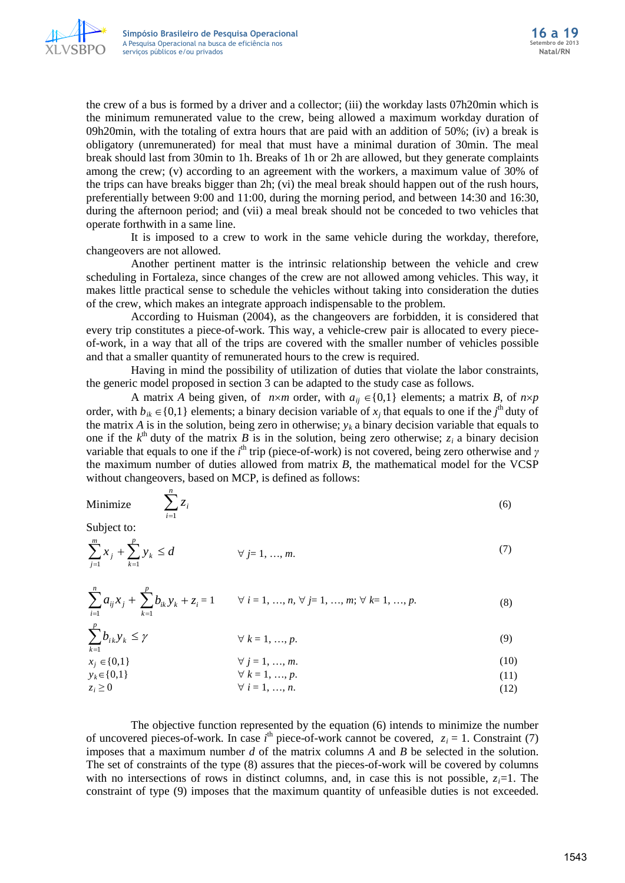

the crew of a bus is formed by a driver and a collector; (iii) the workday lasts 07h20min which is the minimum remunerated value to the crew, being allowed a maximum workday duration of 09h20min, with the totaling of extra hours that are paid with an addition of 50%; (iv) a break is obligatory (unremunerated) for meal that must have a minimal duration of 30min. The meal break should last from 30min to 1h. Breaks of 1h or 2h are allowed, but they generate complaints among the crew; (v) according to an agreement with the workers, a maximum value of 30% of the trips can have breaks bigger than 2h; (vi) the meal break should happen out of the rush hours, preferentially between 9:00 and 11:00, during the morning period, and between 14:30 and 16:30, during the afternoon period; and (vii) a meal break should not be conceded to two vehicles that operate forthwith in a same line.

It is imposed to a crew to work in the same vehicle during the workday, therefore, changeovers are not allowed.

Another pertinent matter is the intrinsic relationship between the vehicle and crew scheduling in Fortaleza, since changes of the crew are not allowed among vehicles. This way, it makes little practical sense to schedule the vehicles without taking into consideration the duties of the crew, which makes an integrate approach indispensable to the problem.

According to Huisman (2004), as the changeovers are forbidden, it is considered that every trip constitutes a piece-of-work. This way, a vehicle-crew pair is allocated to every pieceof-work, in a way that all of the trips are covered with the smaller number of vehicles possible and that a smaller quantity of remunerated hours to the crew is required.

Having in mind the possibility of utilization of duties that violate the labor constraints, the generic model proposed in section 3 can be adapted to the study case as follows.

A matrix *A* being given, of  $n \times m$  order, with  $a_{ii} \in \{0,1\}$  elements; a matrix *B*, of  $n \times p$ order, with  $b_{ik} \in \{0,1\}$  elements; a binary decision variable of  $x_j$  that equals to one if the  $j^{\text{th}}$  duty of the matrix *A* is in the solution, being zero in otherwise;  $y_k$  a binary decision variable that equals to one if the  $k^{\text{th}}$  duty of the matrix *B* is in the solution, being zero otherwise;  $z_i$  a binary decision variable that equals to one if the *i*<sup>th</sup> trip (piece-of-work) is not covered, being zero otherwise and *γ* the maximum number of duties allowed from matrix *B*, the mathematical model for the VCSP without changeovers, based on MCP, is defined as follows:

| $\overline{ }$<br>Minimize<br>$\sim$<br>$l =$ | $\mathbf{6}$ |
|-----------------------------------------------|--------------|
|-----------------------------------------------|--------------|

Subject to:

*k*

1

$$
\sum_{j=1}^{m} x_j + \sum_{k=1}^{p} y_k \le d \qquad \forall j = 1, ..., m.
$$
 (7)

$$
\sum_{i=1}^{n} a_{ij} x_j + \sum_{k=1}^{p} b_{ik} y_k + z_i = 1 \qquad \forall \ i = 1, ..., n, \forall j = 1, ..., m; \forall k = 1, ..., p.
$$
 (8)

 $\sum_{k=1}^p b_{ik} y_k \leq \gamma$  $b_{ik} y_k$  $\forall k = 1, ..., p.$ (9)

$$
\forall j = 1, ..., m. \tag{10}
$$

$$
y_k \in \{0,1\} \qquad \forall \ k = 1, ..., p. \tag{11}
$$
  

$$
z_i \ge 0 \qquad \forall \ i = 1, ..., n. \tag{12}
$$

The objective function represented by the equation (6) intends to minimize the number of uncovered pieces-of-work. In case  $i^{\text{th}}$  piece-of-work cannot be covered,  $z_i = 1$ . Constraint (7) imposes that a maximum number *d* of the matrix columns *A* and *B* be selected in the solution. The set of constraints of the type (8) assures that the pieces-of-work will be covered by columns with no intersections of rows in distinct columns, and, in case this is not possible,  $z_i=1$ . The constraint of type (9) imposes that the maximum quantity of unfeasible duties is not exceeded.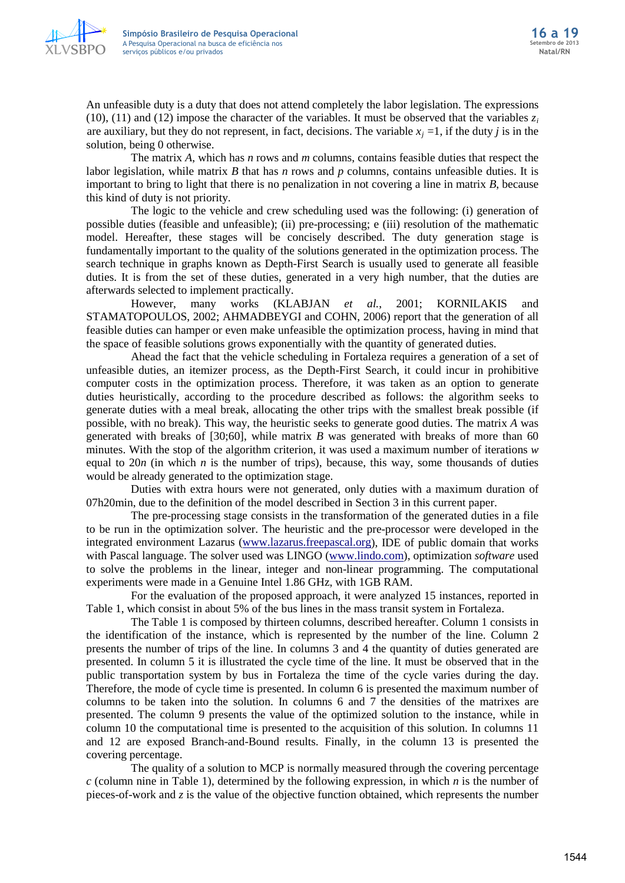

An unfeasible duty is a duty that does not attend completely the labor legislation. The expressions (10), (11) and (12) impose the character of the variables. It must be observed that the variables  $z_i$ are auxiliary, but they do not represent, in fact, decisions. The variable  $x_i = 1$ , if the duty *j* is in the solution, being 0 otherwise.

The matrix *A*, which has *n* rows and *m* columns, contains feasible duties that respect the labor legislation, while matrix *B* that has *n* rows and *p* columns, contains unfeasible duties. It is important to bring to light that there is no penalization in not covering a line in matrix *B*, because this kind of duty is not priority.

The logic to the vehicle and crew scheduling used was the following: (i) generation of possible duties (feasible and unfeasible); (ii) pre-processing; e (iii) resolution of the mathematic model. Hereafter, these stages will be concisely described. The duty generation stage is fundamentally important to the quality of the solutions generated in the optimization process. The search technique in graphs known as Depth-First Search is usually used to generate all feasible duties. It is from the set of these duties, generated in a very high number, that the duties are afterwards selected to implement practically.

However, many works (KLABJAN *et al.*, 2001; KORNILAKIS and STAMATOPOULOS, 2002; AHMADBEYGI and COHN, 2006) report that the generation of all feasible duties can hamper or even make unfeasible the optimization process, having in mind that the space of feasible solutions grows exponentially with the quantity of generated duties.

Ahead the fact that the vehicle scheduling in Fortaleza requires a generation of a set of unfeasible duties, an itemizer process, as the Depth-First Search, it could incur in prohibitive computer costs in the optimization process. Therefore, it was taken as an option to generate duties heuristically, according to the procedure described as follows: the algorithm seeks to generate duties with a meal break, allocating the other trips with the smallest break possible (if possible, with no break). This way, the heuristic seeks to generate good duties. The matrix *A* was generated with breaks of [30;60], while matrix *B* was generated with breaks of more than 60 minutes. With the stop of the algorithm criterion, it was used a maximum number of iterations *w*  equal to  $20n$  (in which  $n$  is the number of trips), because, this way, some thousands of duties would be already generated to the optimization stage.

Duties with extra hours were not generated, only duties with a maximum duration of 07h20min, due to the definition of the model described in Section 3 in this current paper.

The pre-processing stage consists in the transformation of the generated duties in a file to be run in the optimization solver. The heuristic and the pre-processor were developed in the integrated environment Lazarus [\(www.lazarus.freepascal.org\)](http://www.lazarus.freepascal.org/), IDE of public domain that works with Pascal language. The solver used was LINGO [\(www.lindo.com\)](http://www.lindo.com/), optimization *software* used to solve the problems in the linear, integer and non-linear programming. The computational experiments were made in a Genuine Intel 1.86 GHz, with 1GB RAM.

For the evaluation of the proposed approach, it were analyzed 15 instances, reported in Table 1, which consist in about 5% of the bus lines in the mass transit system in Fortaleza.

The Table 1 is composed by thirteen columns, described hereafter. Column 1 consists in the identification of the instance, which is represented by the number of the line. Column 2 presents the number of trips of the line. In columns 3 and 4 the quantity of duties generated are presented. In column 5 it is illustrated the cycle time of the line. It must be observed that in the public transportation system by bus in Fortaleza the time of the cycle varies during the day. Therefore, the mode of cycle time is presented. In column 6 is presented the maximum number of columns to be taken into the solution. In columns 6 and 7 the densities of the matrixes are presented. The column 9 presents the value of the optimized solution to the instance, while in column 10 the computational time is presented to the acquisition of this solution. In columns 11 and 12 are exposed Branch-and-Bound results. Finally, in the column 13 is presented the covering percentage.

The quality of a solution to MCP is normally measured through the covering percentage *c* (column nine in Table 1), determined by the following expression, in which *n* is the number of pieces-of-work and *z* is the value of the objective function obtained, which represents the number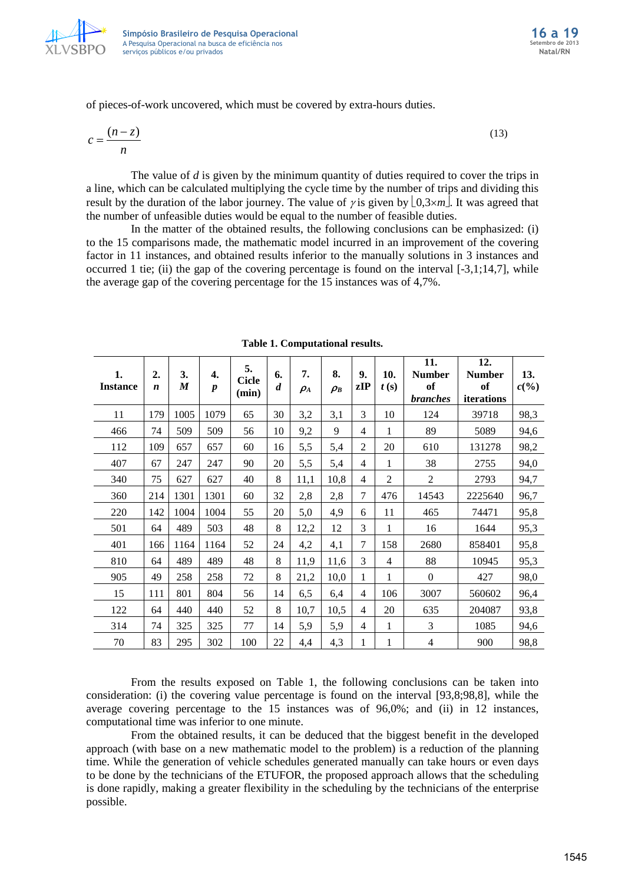

of pieces-of-work uncovered, which must be covered by extra-hours duties.

$$
c = \frac{(n-z)}{n} \tag{13}
$$

The value of *d* is given by the minimum quantity of duties required to cover the trips in a line, which can be calculated multiplying the cycle time by the number of trips and dividing this result by the duration of the labor journey. The value of *γ* is given by  $\lfloor 0.3 \times m \rfloor$ . It was agreed that the number of unfeasible duties would be equal to the number of feasible duties.

In the matter of the obtained results, the following conclusions can be emphasized: (i) to the 15 comparisons made, the mathematic model incurred in an improvement of the covering factor in 11 instances, and obtained results inferior to the manually solutions in 3 instances and occurred 1 tie; (ii) the gap of the covering percentage is found on the interval [-3,1;14,7], while the average gap of the covering percentage for the 15 instances was of 4,7%.

| 1.<br><b>Instance</b> | 2.<br>$\boldsymbol{n}$ | 3.<br>M | 4.<br>$\boldsymbol{p}$ | 5.<br><b>Cicle</b><br>(min) | 6.<br>$\boldsymbol{d}$ | 7.<br>$\rho_A$ | 8.<br>$\rho_B$ | 9.<br>zIP      | 10.<br>t(s)    | 11.<br><b>Number</b><br>of<br><i>branches</i> | 12.<br><b>Number</b><br>of<br>iterations | 13.<br>$c(\%)$ |
|-----------------------|------------------------|---------|------------------------|-----------------------------|------------------------|----------------|----------------|----------------|----------------|-----------------------------------------------|------------------------------------------|----------------|
| 11                    | 179                    | 1005    | 1079                   | 65                          | 30                     | 3,2            | 3,1            | 3              | 10             | 124                                           | 39718                                    | 98,3           |
| 466                   | 74                     | 509     | 509                    | 56                          | 10                     | 9,2            | 9              | 4              | 1              | 89                                            | 5089                                     | 94,6           |
| 112                   | 109                    | 657     | 657                    | 60                          | 16                     | 5,5            | 5,4            | $\overline{2}$ | 20             | 610                                           | 131278                                   | 98,2           |
| 407                   | 67                     | 247     | 247                    | 90                          | 20                     | 5,5            | 5,4            | 4              | 1              | 38                                            | 2755                                     | 94,0           |
| 340                   | 75                     | 627     | 627                    | 40                          | 8                      | 11,1           | 10,8           | $\overline{4}$ | $\overline{2}$ | $\overline{2}$                                | 2793                                     | 94,7           |
| 360                   | 214                    | 1301    | 1301                   | 60                          | 32                     | 2,8            | 2,8            | 7              | 476            | 14543                                         | 2225640                                  | 96,7           |
| 220                   | 142                    | 1004    | 1004                   | 55                          | 20                     | 5,0            | 4,9            | 6              | 11             | 465                                           | 74471                                    | 95,8           |
| 501                   | 64                     | 489     | 503                    | 48                          | 8                      | 12,2           | 12             | 3              | 1              | 16                                            | 1644                                     | 95,3           |
| 401                   | 166                    | 1164    | 1164                   | 52                          | 24                     | 4,2            | 4,1            | $\tau$         | 158            | 2680                                          | 858401                                   | 95,8           |
| 810                   | 64                     | 489     | 489                    | 48                          | 8                      | 11,9           | 11,6           | 3              | $\overline{4}$ | 88                                            | 10945                                    | 95,3           |
| 905                   | 49                     | 258     | 258                    | 72                          | 8                      | 21,2           | 10,0           | 1              | $\mathbf{1}$   | $\Omega$                                      | 427                                      | 98,0           |
| 15                    | 111                    | 801     | 804                    | 56                          | 14                     | 6,5            | 6,4            | $\overline{4}$ | 106            | 3007                                          | 560602                                   | 96,4           |
| 122                   | 64                     | 440     | 440                    | 52                          | 8                      | 10,7           | 10,5           | $\overline{4}$ | 20             | 635                                           | 204087                                   | 93,8           |
| 314                   | 74                     | 325     | 325                    | 77                          | 14                     | 5,9            | 5,9            | 4              | 1              | 3                                             | 1085                                     | 94,6           |
| 70                    | 83                     | 295     | 302                    | 100                         | 22                     | 4,4            | 4,3            | 1              | 1              | 4                                             | 900                                      | 98,8           |

**Table 1. Computational results.**

From the results exposed on Table 1, the following conclusions can be taken into consideration: (i) the covering value percentage is found on the interval [93,8;98,8], while the average covering percentage to the 15 instances was of 96,0%; and (ii) in 12 instances, computational time was inferior to one minute.

From the obtained results, it can be deduced that the biggest benefit in the developed approach (with base on a new mathematic model to the problem) is a reduction of the planning time. While the generation of vehicle schedules generated manually can take hours or even days to be done by the technicians of the ETUFOR, the proposed approach allows that the scheduling is done rapidly, making a greater flexibility in the scheduling by the technicians of the enterprise possible.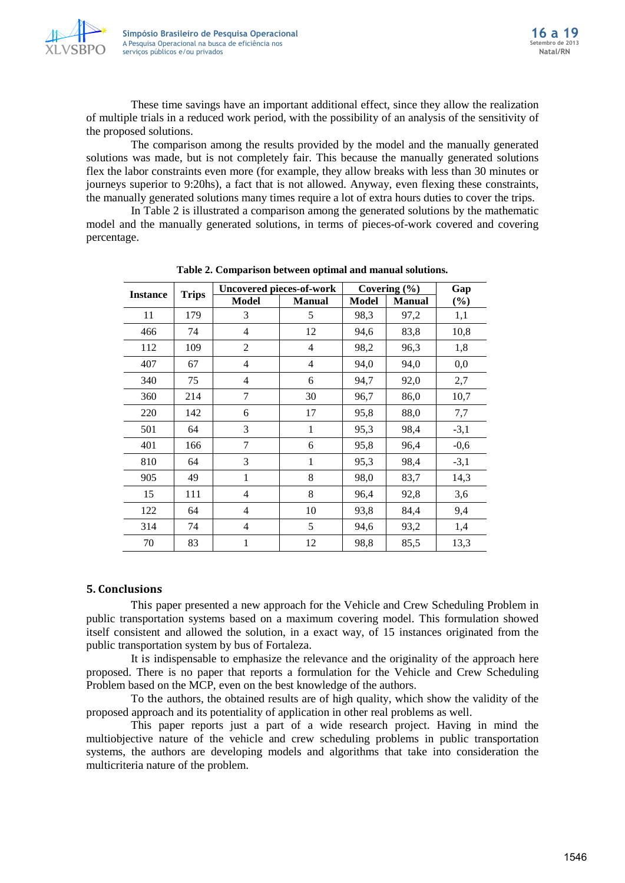

These time savings have an important additional effect, since they allow the realization of multiple trials in a reduced work period, with the possibility of an analysis of the sensitivity of the proposed solutions.

The comparison among the results provided by the model and the manually generated solutions was made, but is not completely fair. This because the manually generated solutions flex the labor constraints even more (for example, they allow breaks with less than 30 minutes or journeys superior to 9:20hs), a fact that is not allowed. Anyway, even flexing these constraints, the manually generated solutions many times require a lot of extra hours duties to cover the trips.

In Table 2 is illustrated a comparison among the generated solutions by the mathematic model and the manually generated solutions, in terms of pieces-of-work covered and covering percentage.

|                 |              | <b>Uncovered pieces-of-work</b> |                | Covering $(\% )$ | Gap           |        |  |
|-----------------|--------------|---------------------------------|----------------|------------------|---------------|--------|--|
| <b>Instance</b> | <b>Trips</b> | <b>Model</b>                    | <b>Manual</b>  | Model            | <b>Manual</b> | (%)    |  |
| 11              | 179          | 3                               | 5              | 98,3             | 97,2          | 1,1    |  |
| 466             | 74           | 4                               | 12             | 94,6             | 83,8          | 10,8   |  |
| 112             | 109          | $\overline{2}$                  | $\overline{4}$ | 98,2             | 96,3          | 1,8    |  |
| 407             | 67           | $\overline{4}$                  | $\overline{4}$ | 94,0             | 94,0          | 0,0    |  |
| 340             | 75           | $\overline{4}$                  | 6              | 94,7             | 92,0          | 2,7    |  |
| 360             | 214          | 7                               | 30             | 96,7             | 86,0          | 10,7   |  |
| 220             | 142          | 6                               | 17             | 95,8             | 88,0          | 7,7    |  |
| 501             | 64           | 3                               | 1              | 95,3             | 98,4          | $-3,1$ |  |
| 401             | 166          | 7                               | 6              | 95,8             | 96,4          | $-0,6$ |  |
| 810             | 64           | 3                               | 1              | 95,3             | 98,4          | $-3,1$ |  |
| 905             | 49           | 1                               | 8              | 98,0             | 83,7          | 14,3   |  |
| 15              | 111          | $\overline{4}$                  | 8              | 96,4             | 92,8          | 3,6    |  |
| 122             | 64           | 4                               | 10             | 93,8             | 84,4          | 9,4    |  |
| 314             | 74           | $\overline{4}$                  | 5              | 94,6             | 93,2          | 1,4    |  |
| 70              | 83           | 1                               | 12             | 98,8             | 85,5          | 13,3   |  |

**Table 2. Comparison between optimal and manual solutions.**

#### **5. Conclusions**

This paper presented a new approach for the Vehicle and Crew Scheduling Problem in public transportation systems based on a maximum covering model. This formulation showed itself consistent and allowed the solution, in a exact way, of 15 instances originated from the public transportation system by bus of Fortaleza.

It is indispensable to emphasize the relevance and the originality of the approach here proposed. There is no paper that reports a formulation for the Vehicle and Crew Scheduling Problem based on the MCP, even on the best knowledge of the authors.

To the authors, the obtained results are of high quality, which show the validity of the proposed approach and its potentiality of application in other real problems as well.

This paper reports just a part of a wide research project. Having in mind the multiobjective nature of the vehicle and crew scheduling problems in public transportation systems, the authors are developing models and algorithms that take into consideration the multicriteria nature of the problem.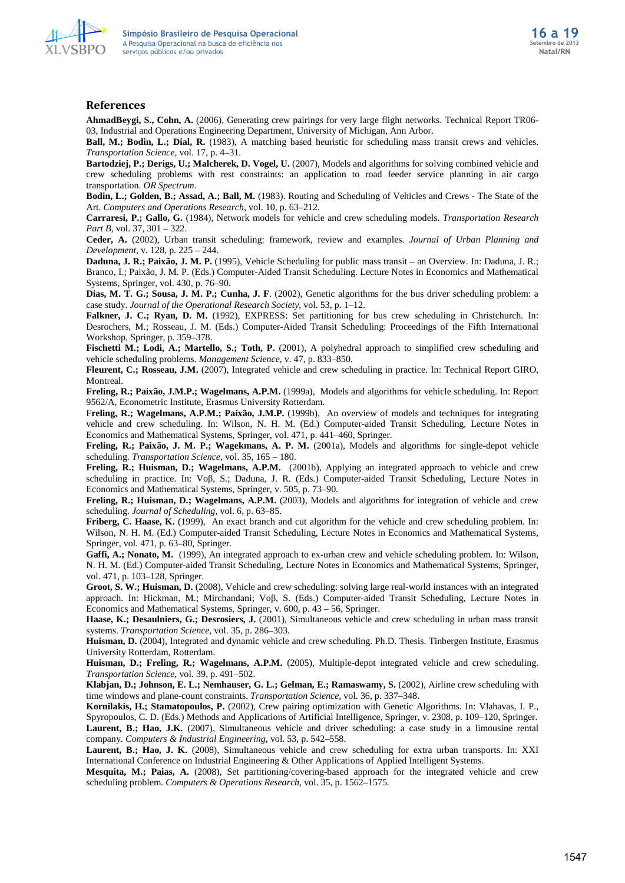

#### **References**

**AhmadBeygi, S., Cohn, A.** (2006), Generating crew pairings for very large flight networks. Technical Report TR06- 03, Industrial and Operations Engineering Department, University of Michigan, Ann Arbor.

**Ball, M.; Bodin, L.; Dial, R.** (1983), A matching based heuristic for scheduling mass transit crews and vehicles. *Transportation Science*, vol. 17, p. 4–31.

**Bartodziej, P.; Derigs, U.; Malcherek, D. Vogel, U.** (2007), Models and algorithms for solving combined vehicle and crew scheduling problems with rest constraints: an application to road feeder service planning in air cargo transportation. *OR Spectrum*.

**Bodin, L.; Golden, B.; Assad, A.; Ball, M.** (1983). Routing and Scheduling of Vehicles and Crews - The State of the Art. *Computers and Operations Research*, vol. 10, p. 63–212.

**Carraresi, P.; Gallo, G.** (1984), Network models for vehicle and crew scheduling models. *Transportation Research Part B*, vol. 37, 301 – 322.

**Ceder, A.** (2002), Urban transit scheduling: framework, review and examples. *Journal of Urban Planning and Development*, v. 128, p. 225 – 244.

**Daduna, J. R.; Paixão, J. M. P.** (1995), Vehicle Scheduling for public mass transit – an Overview. In: Daduna, J. R.; Branco, I.; Paixão, J. M. P. (Eds.) Computer-Aided Transit Scheduling. Lecture Notes in Economics and Mathematical Systems, Springer, vol. 430, p. 76–90.

**Dias, M. T. G.; Sousa, J. M. P.; Cunha, J. F**. (2002), Genetic algorithms for the bus driver scheduling problem: a case study. *Journal of the Operational Research Society*, vol. 53, p. 1–12.

Falkner, J. C.; Ryan, D. M. (1992), EXPRESS: Set partitioning for bus crew scheduling in Christchurch. In: Desrochers, M.; Rosseau, J. M. (Eds.) Computer-Aided Transit Scheduling: Proceedings of the Fifth International Workshop, Springer, p. 359–378.

**Fischetti M.; Lodi, A.; Martello, S.; Toth, P.** (2001), A polyhedral approach to simplified crew scheduling and vehicle scheduling problems. *Management Science*, v. 47, p. 833–850.

**Fleurent, C.; Rosseau, J.M.** (2007), Integrated vehicle and crew scheduling in practice. In: Technical Report GIRO, Montreal.

**Freling, R.; Paixão, J.M.P.; Wagelmans, A.P.M.** (1999a), Models and algorithms for vehicle scheduling. In: Report 9562/A, Econometric Institute, Erasmus University Rotterdam.

F**reling, R.; Wagelmans, A.P.M.; Paixão, J.M.P.** (1999b),An overview of models and techniques for integrating vehicle and crew scheduling. In: Wilson, N. H. M. (Ed.) Computer-aided Transit Scheduling, Lecture Notes in Economics and Mathematical Systems, Springer, vol. 471, p. 441–460, Springer.

**Freling, R.; Paixão, J. M. P.; Wagekmans, A. P. M.** (2001a), Models and algorithms for single-depot vehicle scheduling. *Transportation Science*, vol. 35, 165 – 180.

**Freling, R.; Huisman, D.; Wagelmans, A.P.M.** (2001b), Applying an integrated approach to vehicle and crew scheduling in practice. In: Voβ, S.; Daduna, J. R. (Eds.) Computer-aided Transit Scheduling, Lecture Notes in Economics and Mathematical Systems, Springer, v. 505, p. 73–90.

**Freling, R.; Huisman, D.; Wagelmans, A.P.M.** (2003), Models and algorithms for integration of vehicle and crew scheduling. *Journal of Scheduling*, vol. 6, p. 63–85.

**Friberg, C. Haase, K.** (1999), An exact branch and cut algorithm for the vehicle and crew scheduling problem. In: Wilson, N. H. M. (Ed.) Computer-aided Transit Scheduling, Lecture Notes in Economics and Mathematical Systems, Springer, vol. 471, p. 63–80, Springer.

**Gaffi, A.; Nonato, M.** (1999), An integrated approach to ex-urban crew and vehicle scheduling problem. In: Wilson, N. H. M. (Ed.) Computer-aided Transit Scheduling, Lecture Notes in Economics and Mathematical Systems, Springer, vol. 471, p. 103–128, Springer.

**Groot, S. W.; Huisman, D.** (2008), Vehicle and crew scheduling: solving large real-world instances with an integrated approach. In: Hickman, M.; Mirchandani; Voβ, S. (Eds.) Computer-aided Transit Scheduling, Lecture Notes in Economics and Mathematical Systems, Springer, v. 600, p. 43 – 56, Springer.

**Haase, K.; Desaulniers, G.; Desrosiers, J.** (2001), Simultaneous vehicle and crew scheduling in urban mass transit systems. *Transportation Science*, vol. 35, p. 286–303.

**Huisman, D.** (2004), Integrated and dynamic vehicle and crew scheduling. Ph.D. Thesis. Tinbergen Institute, Erasmus University Rotterdam, Rotterdam.

**Huisman, D.; Freling, R.; Wagelmans, A.P.M.** (2005), Multiple-depot integrated vehicle and crew scheduling. *Transportation Science*, vol. 39, p. 491–502.

**Klabjan, D.; Johnson, E. L.; Nemhauser, G. L.; Gelman, E.; Ramaswamy, S.** (2002), Airline crew scheduling with time windows and plane-count constraints. *Transportation Science*, vol. 36, p. 337–348.

**Kornilakis, H.; Stamatopoulos, P.** (2002), Crew pairing optimization with Genetic Algorithms*.* In: Vlahavas, I. P., Spyropoulos, C. D. (Eds.) Methods and Applications of Artificial Intelligence, Springer, v. 2308, p. 109–120, Springer. **Laurent, B.; Hao, J.K.** (2007), Simultaneous vehicle and driver scheduling: a case study in a limousine rental company. *Computers & Industrial Engineering*, vol. 53, p. 542–558.

**Laurent, B.; Hao, J. K.** (2008), Simultaneous vehicle and crew scheduling for extra urban transports. In: XXI International Conference on Industrial Engineering & Other Applications of Applied Intelligent Systems.

**Mesquita, M.; Paias, A.** (2008), Set partitioning/covering-based approach for the integrated vehicle and crew scheduling problem. *Computers & Operations Research*, vol. 35, p. 1562–1575.